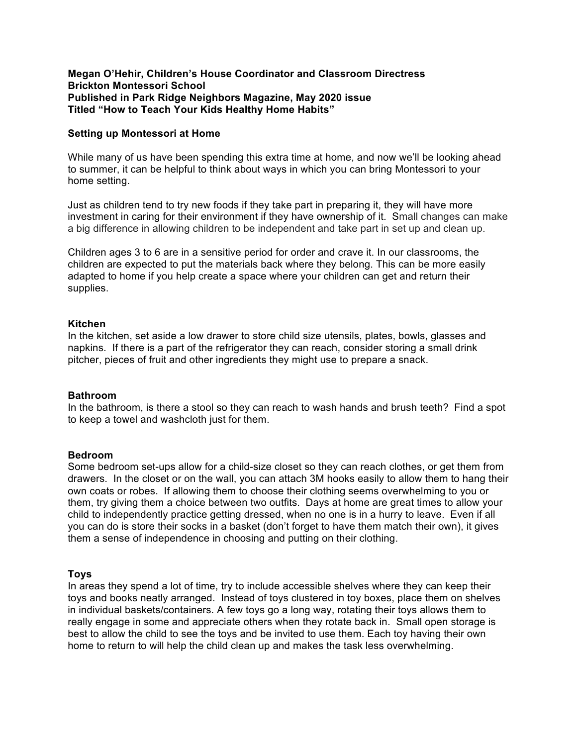## **Megan O'Hehir, Children's House Coordinator and Classroom Directress Brickton Montessori School Published in Park Ridge Neighbors Magazine, May 2020 issue Titled "How to Teach Your Kids Healthy Home Habits"**

### **Setting up Montessori at Home**

While many of us have been spending this extra time at home, and now we'll be looking ahead to summer, it can be helpful to think about ways in which you can bring Montessori to your home setting.

Just as children tend to try new foods if they take part in preparing it, they will have more investment in caring for their environment if they have ownership of it. Small changes can make a big difference in allowing children to be independent and take part in set up and clean up.

Children ages 3 to 6 are in a sensitive period for order and crave it. In our classrooms, the children are expected to put the materials back where they belong. This can be more easily adapted to home if you help create a space where your children can get and return their supplies.

#### **Kitchen**

In the kitchen, set aside a low drawer to store child size utensils, plates, bowls, glasses and napkins. If there is a part of the refrigerator they can reach, consider storing a small drink pitcher, pieces of fruit and other ingredients they might use to prepare a snack.

#### **Bathroom**

In the bathroom, is there a stool so they can reach to wash hands and brush teeth? Find a spot to keep a towel and washcloth just for them.

#### **Bedroom**

Some bedroom set-ups allow for a child-size closet so they can reach clothes, or get them from drawers. In the closet or on the wall, you can attach 3M hooks easily to allow them to hang their own coats or robes. If allowing them to choose their clothing seems overwhelming to you or them, try giving them a choice between two outfits. Days at home are great times to allow your child to independently practice getting dressed, when no one is in a hurry to leave. Even if all you can do is store their socks in a basket (don't forget to have them match their own), it gives them a sense of independence in choosing and putting on their clothing.

## **Toys**

In areas they spend a lot of time, try to include accessible shelves where they can keep their toys and books neatly arranged. Instead of toys clustered in toy boxes, place them on shelves in individual baskets/containers. A few toys go a long way, rotating their toys allows them to really engage in some and appreciate others when they rotate back in. Small open storage is best to allow the child to see the toys and be invited to use them. Each toy having their own home to return to will help the child clean up and makes the task less overwhelming.